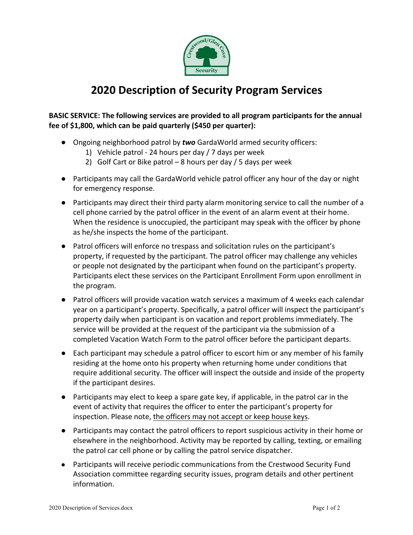

## **2020 Description of Security Program Services**

## **BASIC SERVICE:** The following services are provided to all program participants for the annual fee of \$1,800, which can be paid quarterly (\$450 per quarter):

- Ongoing neighborhood patrol by *two* GardaWorld armed security officers:
	- 1) Vehicle patrol 24 hours per day  $/$  7 days per week
	- 2) Golf Cart or Bike patrol 8 hours per day  $/$  5 days per week
- Participants may call the GardaWorld vehicle patrol officer any hour of the day or night for emergency response.
- Participants may direct their third party alarm monitoring service to call the number of a cell phone carried by the patrol officer in the event of an alarm event at their home. When the residence is unoccupied, the participant may speak with the officer by phone as he/she inspects the home of the participant.
- Patrol officers will enforce no trespass and solicitation rules on the participant's property, if requested by the participant. The patrol officer may challenge any vehicles or people not designated by the participant when found on the participant's property. Participants elect these services on the Participant Enrollment Form upon enrollment in the program.
- Patrol officers will provide vacation watch services a maximum of 4 weeks each calendar year on a participant's property. Specifically, a patrol officer will inspect the participant's property daily when participant is on vacation and report problems immediately. The service will be provided at the request of the participant via the submission of a completed Vacation Watch Form to the patrol officer before the participant departs.
- Each participant may schedule a patrol officer to escort him or any member of his family residing at the home onto his property when returning home under conditions that require additional security. The officer will inspect the outside and inside of the property if the participant desires.
- Participants may elect to keep a spare gate key, if applicable, in the patrol car in the event of activity that requires the officer to enter the participant's property for inspection. Please note, the officers may not accept or keep house keys.
- Participants may contact the patrol officers to report suspicious activity in their home or elsewhere in the neighborhood. Activity may be reported by calling, texting, or emailing the patrol car cell phone or by calling the patrol service dispatcher.
- Participants will receive periodic communications from the Crestwood Security Fund Association committee regarding security issues, program details and other pertinent information.